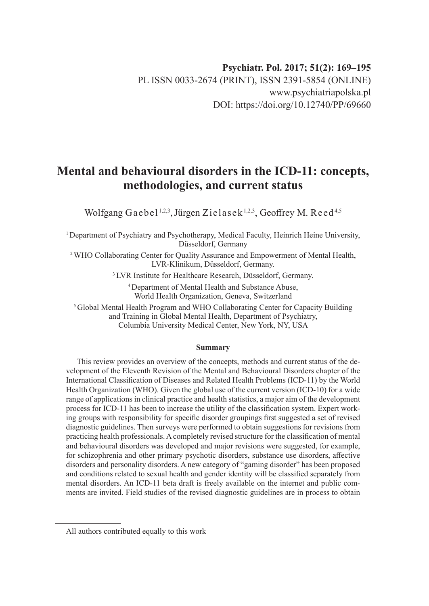# **Mental and behavioural disorders in the ICD-11: concepts, methodologies, and current status**

Wolfgang Gaebel<sup>1,2,3</sup>, Jürgen Zielasek<sup>1,2,3</sup>, Geoffrey M. Reed<sup>4,5</sup>

<sup>1</sup>Department of Psychiatry and Psychotherapy, Medical Faculty, Heinrich Heine University, Düsseldorf, Germany

<sup>2</sup>WHO Collaborating Center for Quality Assurance and Empowerment of Mental Health, LVR-Klinikum, Düsseldorf, Germany.

<sup>3</sup> LVR Institute for Healthcare Research, Düsseldorf, Germany.

<sup>4</sup>Department of Mental Health and Substance Abuse, World Health Organization, Geneva, Switzerland

<sup>5</sup>Global Mental Health Program and WHO Collaborating Center for Capacity Building and Training in Global Mental Health, Department of Psychiatry, Columbia University Medical Center, New York, NY, USA

#### **Summary**

This review provides an overview of the concepts, methods and current status of the development of the Eleventh Revision of the Mental and Behavioural Disorders chapter of the International Classification of Diseases and Related Health Problems (ICD-11) by the World Health Organization (WHO). Given the global use of the current version (ICD-10) for a wide range of applications in clinical practice and health statistics, a major aim of the development process for ICD-11 has been to increase the utility of the classification system. Expert working groups with responsibility for specific disorder groupings first suggested a set of revised diagnostic guidelines. Then surveys were performed to obtain suggestions for revisions from practicing health professionals. A completely revised structure for the classification of mental and behavioural disorders was developed and major revisions were suggested, for example, for schizophrenia and other primary psychotic disorders, substance use disorders, affective disorders and personality disorders. A new category of "gaming disorder" has been proposed and conditions related to sexual health and gender identity will be classified separately from mental disorders. An ICD-11 beta draft is freely available on the internet and public comments are invited. Field studies of the revised diagnostic guidelines are in process to obtain

All authors contributed equally to this work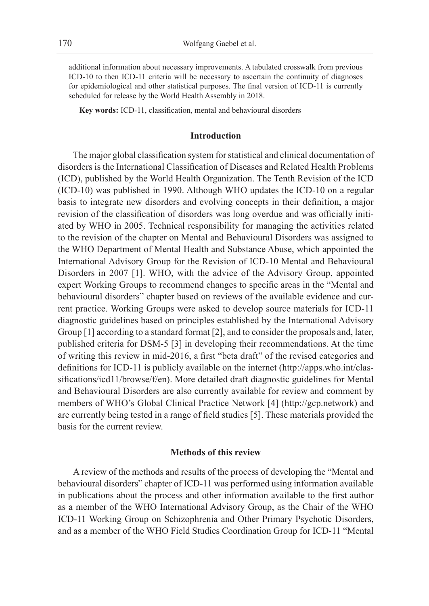additional information about necessary improvements. A tabulated crosswalk from previous ICD-10 to then ICD-11 criteria will be necessary to ascertain the continuity of diagnoses for epidemiological and other statistical purposes. The final version of ICD-11 is currently scheduled for release by the World Health Assembly in 2018.

**Key words:** ICD-11, classification, mental and behavioural disorders

#### **Introduction**

The major global classification system for statistical and clinical documentation of disorders is the International Classification of Diseases and Related Health Problems (ICD), published by the World Health Organization. The Tenth Revision of the ICD (ICD-10) was published in 1990. Although WHO updates the ICD-10 on a regular basis to integrate new disorders and evolving concepts in their definition, a major revision of the classification of disorders was long overdue and was officially initiated by WHO in 2005. Technical responsibility for managing the activities related to the revision of the chapter on Mental and Behavioural Disorders was assigned to the WHO Department of Mental Health and Substance Abuse, which appointed the International Advisory Group for the Revision of ICD-10 Mental and Behavioural Disorders in 2007 [1]. WHO, with the advice of the Advisory Group, appointed expert Working Groups to recommend changes to specific areas in the "Mental and behavioural disorders" chapter based on reviews of the available evidence and current practice. Working Groups were asked to develop source materials for ICD-11 diagnostic guidelines based on principles established by the International Advisory Group [1] according to a standard format [2], and to consider the proposals and, later, published criteria for DSM-5 [3] in developing their recommendations. At the time of writing this review in mid-2016, a first "beta draft" of the revised categories and definitions for ICD-11 is publicly available on the internet (http://apps.who.int/classifications/icd11/browse/f/en). More detailed draft diagnostic guidelines for Mental and Behavioural Disorders are also currently available for review and comment by members of WHO's Global Clinical Practice Network [4] (http://gcp.network) and are currently being tested in a range of field studies [5]. These materials provided the basis for the current review.

### **Methods of this review**

A review of the methods and results of the process of developing the "Mental and behavioural disorders" chapter of ICD-11 was performed using information available in publications about the process and other information available to the first author as a member of the WHO International Advisory Group, as the Chair of the WHO ICD-11 Working Group on Schizophrenia and Other Primary Psychotic Disorders, and as a member of the WHO Field Studies Coordination Group for ICD-11 "Mental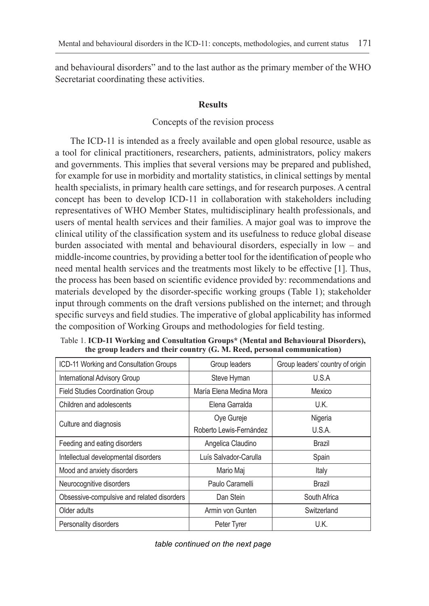and behavioural disorders" and to the last author as the primary member of the WHO Secretariat coordinating these activities.

#### **Results**

#### Concepts of the revision process

The ICD-11 is intended as a freely available and open global resource, usable as a tool for clinical practitioners, researchers, patients, administrators, policy makers and governments. This implies that several versions may be prepared and published, for example for use in morbidity and mortality statistics, in clinical settings by mental health specialists, in primary health care settings, and for research purposes. A central concept has been to develop ICD-11 in collaboration with stakeholders including representatives of WHO Member States, multidisciplinary health professionals, and users of mental health services and their families. A major goal was to improve the clinical utility of the classification system and its usefulness to reduce global disease burden associated with mental and behavioural disorders, especially in low – and middle-income countries, by providing a better tool for the identification of people who need mental health services and the treatments most likely to be effective [1]. Thus, the process has been based on scientific evidence provided by: recommendations and materials developed by the disorder-specific working groups (Table 1); stakeholder input through comments on the draft versions published on the internet; and through specific surveys and field studies. The imperative of global applicability has informed the composition of Working Groups and methodologies for field testing.

| ICD-11 Working and Consultation Groups     | Group leaders           | Group leaders' country of origin |
|--------------------------------------------|-------------------------|----------------------------------|
| International Advisory Group               | Steve Hyman             | U.S.A                            |
| <b>Field Studies Coordination Group</b>    | María Elena Medina Mora | Mexico                           |
| Children and adolescents                   | Elena Garralda          | U.K.                             |
|                                            | Oye Gureje              | Nigeria                          |
| Culture and diagnosis                      | Roberto Lewis-Fernández | U.S.A.                           |
| Feeding and eating disorders               | Angelica Claudino       | Brazil                           |
| Intellectual developmental disorders       | Luís Salvador-Carulla   | Spain                            |
| Mood and anxiety disorders                 | Mario Maj               | Italy                            |
| Neurocognitive disorders                   | Paulo Caramelli         | Brazil                           |
| Obsessive-compulsive and related disorders | Dan Stein               | South Africa                     |
| Older adults                               | Armin von Gunten        | Switzerland                      |
| Personality disorders                      | Peter Tyrer             | U.K.                             |

Table 1. **ICD-11 Working and Consultation Groups\* (Mental and Behavioural Disorders), the group leaders and their country (G. M. Reed, personal communication)**

*table continued on the next page*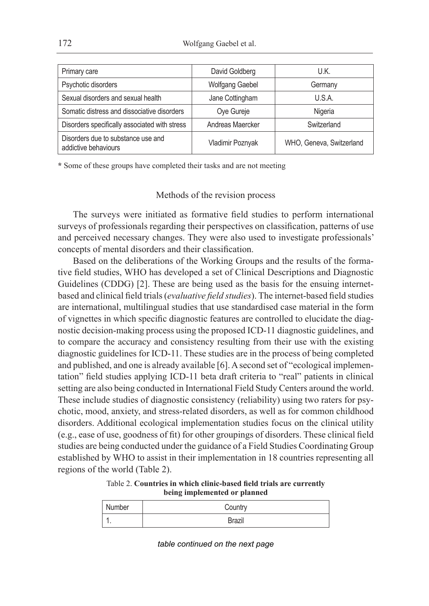172 Wolfgang Gaebel et al.

| Primary care                                               | David Goldberg         | U.K.                     |
|------------------------------------------------------------|------------------------|--------------------------|
| Psychotic disorders                                        | <b>Wolfgang Gaebel</b> | Germany                  |
| Sexual disorders and sexual health                         | Jane Cottingham        | U.S.A.                   |
| Somatic distress and dissociative disorders                | Oye Gureje             | Nigeria                  |
| Disorders specifically associated with stress              | Andreas Maercker       | Switzerland              |
| Disorders due to substance use and<br>addictive behaviours | Vladimir Poznyak       | WHO, Geneva, Switzerland |

**\*** Some of these groups have completed their tasks and are not meeting

#### Methods of the revision process

The surveys were initiated as formative field studies to perform international surveys of professionals regarding their perspectives on classification, patterns of use and perceived necessary changes. They were also used to investigate professionals' concepts of mental disorders and their classification.

Based on the deliberations of the Working Groups and the results of the formative field studies, WHO has developed a set of Clinical Descriptions and Diagnostic Guidelines (CDDG) [2]. These are being used as the basis for the ensuing internetbased and clinical field trials (*evaluative field studies*). The internet-based field studies are international, multilingual studies that use standardised case material in the form of vignettes in which specific diagnostic features are controlled to elucidate the diagnostic decision-making process using the proposed ICD-11 diagnostic guidelines, and to compare the accuracy and consistency resulting from their use with the existing diagnostic guidelines for ICD-11. These studies are in the process of being completed and published, and one is already available [6]. A second set of "ecological implementation" field studies applying ICD-11 beta draft criteria to "real" patients in clinical setting are also being conducted in International Field Study Centers around the world. These include studies of diagnostic consistency (reliability) using two raters for psychotic, mood, anxiety, and stress-related disorders, as well as for common childhood disorders. Additional ecological implementation studies focus on the clinical utility (e.g., ease of use, goodness of fit) for other groupings of disorders. These clinical field studies are being conducted under the guidance of a Field Studies Coordinating Group established by WHO to assist in their implementation in 18 countries representing all regions of the world (Table 2).

#### Table 2. **Countries in which clinic-based field trials are currently being implemented or planned**

| Number | Country |
|--------|---------|
| . .    | Brazil  |

*table continued on the next page*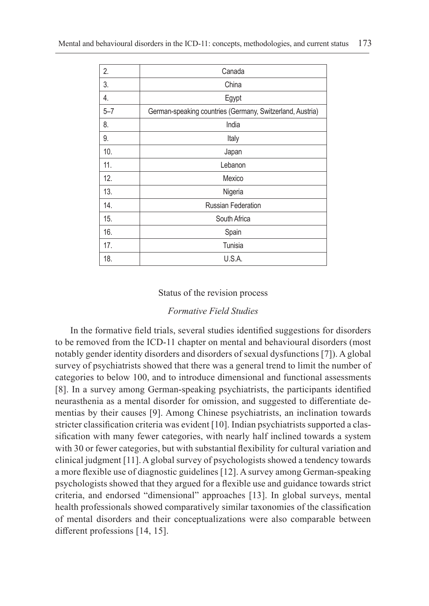| 2.      | Canada                                                    |
|---------|-----------------------------------------------------------|
| 3.      | China                                                     |
| 4.      | Egypt                                                     |
| $5 - 7$ | German-speaking countries (Germany, Switzerland, Austria) |
| 8.      | India                                                     |
| 9.      | Italy                                                     |
| 10.     | Japan                                                     |
| 11.     | Lebanon                                                   |
| 12.     | Mexico                                                    |
| 13.     | Nigeria                                                   |
| 14.     | <b>Russian Federation</b>                                 |
| 15.     | South Africa                                              |
| 16.     | Spain                                                     |
| 17.     | Tunisia                                                   |
| 18.     | U.S.A.                                                    |

### Status of the revision process

# *Formative Field Studies*

In the formative field trials, several studies identified suggestions for disorders to be removed from the ICD-11 chapter on mental and behavioural disorders (most notably gender identity disorders and disorders of sexual dysfunctions [7]). A global survey of psychiatrists showed that there was a general trend to limit the number of categories to below 100, and to introduce dimensional and functional assessments [8]. In a survey among German-speaking psychiatrists, the participants identified neurasthenia as a mental disorder for omission, and suggested to differentiate dementias by their causes [9]. Among Chinese psychiatrists, an inclination towards stricter classification criteria was evident [10]. Indian psychiatrists supported a classification with many fewer categories, with nearly half inclined towards a system with 30 or fewer categories, but with substantial flexibility for cultural variation and clinical judgment [11]. A global survey of psychologists showed a tendency towards a more flexible use of diagnostic guidelines [12]. A survey among German-speaking psychologists showed that they argued for a flexible use and guidance towards strict criteria, and endorsed "dimensional" approaches [13]. In global surveys, mental health professionals showed comparatively similar taxonomies of the classification of mental disorders and their conceptualizations were also comparable between different professions [14, 15].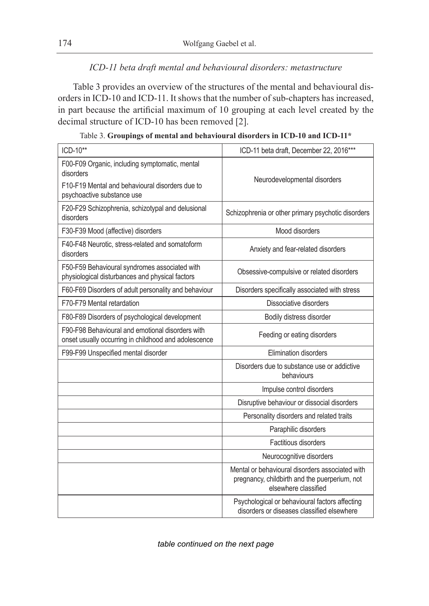# *ICD-11 beta draft mental and behavioural disorders: metastructure*

Table 3 provides an overview of the structures of the mental and behavioural disorders in ICD-10 and ICD-11. It shows that the number of sub-chapters has increased, in part because the artificial maximum of 10 grouping at each level created by the decimal structure of ICD-10 has been removed [2].

| ICD-10**                                                                                                                                     | ICD-11 beta draft, December 22, 2016***                                                                                  |
|----------------------------------------------------------------------------------------------------------------------------------------------|--------------------------------------------------------------------------------------------------------------------------|
| F00-F09 Organic, including symptomatic, mental<br>disorders<br>F10-F19 Mental and behavioural disorders due to<br>psychoactive substance use | Neurodevelopmental disorders                                                                                             |
| F20-F29 Schizophrenia, schizotypal and delusional<br>disorders                                                                               | Schizophrenia or other primary psychotic disorders                                                                       |
| F30-F39 Mood (affective) disorders                                                                                                           | Mood disorders                                                                                                           |
| F40-F48 Neurotic, stress-related and somatoform<br>disorders                                                                                 | Anxiety and fear-related disorders                                                                                       |
| F50-F59 Behavioural syndromes associated with<br>physiological disturbances and physical factors                                             | Obsessive-compulsive or related disorders                                                                                |
| F60-F69 Disorders of adult personality and behaviour                                                                                         | Disorders specifically associated with stress                                                                            |
| F70-F79 Mental retardation                                                                                                                   | Dissociative disorders                                                                                                   |
| F80-F89 Disorders of psychological development                                                                                               | Bodily distress disorder                                                                                                 |
| F90-F98 Behavioural and emotional disorders with<br>onset usually occurring in childhood and adolescence                                     | Feeding or eating disorders                                                                                              |
| F99-F99 Unspecified mental disorder                                                                                                          | Elimination disorders                                                                                                    |
|                                                                                                                                              | Disorders due to substance use or addictive<br>behaviours                                                                |
|                                                                                                                                              | Impulse control disorders                                                                                                |
|                                                                                                                                              | Disruptive behaviour or dissocial disorders                                                                              |
|                                                                                                                                              | Personality disorders and related traits                                                                                 |
|                                                                                                                                              | Paraphilic disorders                                                                                                     |
|                                                                                                                                              | Factitious disorders                                                                                                     |
|                                                                                                                                              | Neurocognitive disorders                                                                                                 |
|                                                                                                                                              | Mental or behavioural disorders associated with<br>pregnancy, childbirth and the puerperium, not<br>elsewhere classified |
|                                                                                                                                              | Psychological or behavioural factors affecting<br>disorders or diseases classified elsewhere                             |

|  |  | Table 3. Groupings of mental and behavioural disorders in ICD-10 and ICD-11* |
|--|--|------------------------------------------------------------------------------|
|  |  |                                                                              |

*table continued on the next page*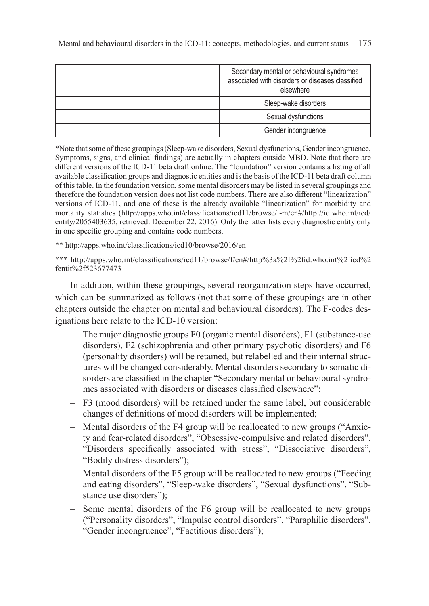| Secondary mental or behavioural syndromes<br>associated with disorders or diseases classified<br>elsewhere |
|------------------------------------------------------------------------------------------------------------|
| Sleep-wake disorders                                                                                       |
| Sexual dysfunctions                                                                                        |
| Gender incongruence                                                                                        |

\*Note that some of these groupings (Sleep-wake disorders, Sexual dysfunctions, Gender incongruence, Symptoms, signs, and clinical findings) are actually in chapters outside MBD. Note that there are different versions of the ICD-11 beta draft online: The "foundation" version contains a listing of all available classification groups and diagnostic entities and is the basis of the ICD-11 beta draft column of this table. In the foundation version, some mental disorders may be listed in several groupings and therefore the foundation version does not list code numbers. There are also different "linearization" versions of ICD-11, and one of these is the already available "linearization" for morbidity and mortality statistics (http://apps.who.int/classifications/icd11/browse/l-m/en#/http://id.who.int/icd/ entity/2055403635; retrieved: December 22, 2016). Only the latter lists every diagnostic entity only in one specific grouping and contains code numbers.

\*\* http://apps.who.int/classifications/icd10/browse/2016/en

\*\*\* http://apps.who.int/classifications/icd11/browse/f/en#/http%3a%2f%2fid.who.int%2ficd%2 fentit%2f523677473

In addition, within these groupings, several reorganization steps have occurred, which can be summarized as follows (not that some of these groupings are in other chapters outside the chapter on mental and behavioural disorders). The F-codes designations here relate to the ICD-10 version:

- The major diagnostic groups F0 (organic mental disorders), F1 (substance-use disorders), F2 (schizophrenia and other primary psychotic disorders) and F6 (personality disorders) will be retained, but relabelled and their internal structures will be changed considerably. Mental disorders secondary to somatic disorders are classified in the chapter "Secondary mental or behavioural syndromes associated with disorders or diseases classified elsewhere";
- F3 (mood disorders) will be retained under the same label, but considerable changes of definitions of mood disorders will be implemented;
- Mental disorders of the F4 group will be reallocated to new groups ("Anxiety and fear-related disorders", "Obsessive-compulsive and related disorders", "Disorders specifically associated with stress", "Dissociative disorders", "Bodily distress disorders");
- Mental disorders of the F5 group will be reallocated to new groups ("Feeding and eating disorders", "Sleep-wake disorders", "Sexual dysfunctions", "Substance use disorders");
- Some mental disorders of the F6 group will be reallocated to new groups ("Personality disorders", "Impulse control disorders", "Paraphilic disorders", "Gender incongruence", "Factitious disorders");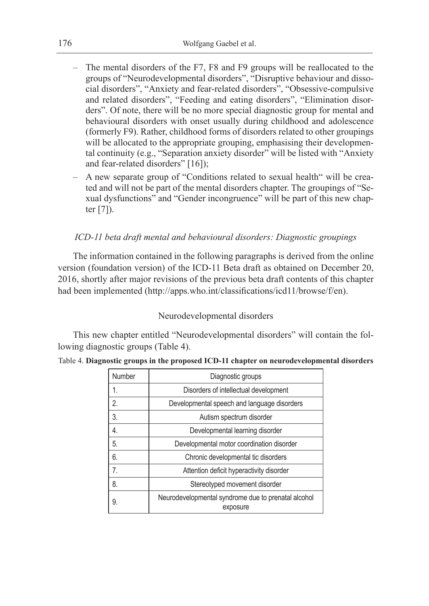- The mental disorders of the F7, F8 and F9 groups will be reallocated to the groups of "Neurodevelopmental disorders", "Disruptive behaviour and dissocial disorders", "Anxiety and fear-related disorders", "Obsessive-compulsive and related disorders", "Feeding and eating disorders", "Elimination disorders". Of note, there will be no more special diagnostic group for mental and behavioural disorders with onset usually during childhood and adolescence (formerly F9). Rather, childhood forms of disorders related to other groupings will be allocated to the appropriate grouping, emphasising their developmental continuity (e.g., "Separation anxiety disorder" will be listed with "Anxiety and fear-related disorders" [16]);
- A new separate group of "Conditions related to sexual health" will be created and will not be part of the mental disorders chapter. The groupings of "Sexual dysfunctions" and "Gender incongruence" will be part of this new chapter  $[7]$ ).

### *ICD-11 beta draft mental and behavioural disorders: Diagnostic groupings*

The information contained in the following paragraphs is derived from the online version (foundation version) of the ICD-11 Beta draft as obtained on December 20, 2016, shortly after major revisions of the previous beta draft contents of this chapter had been implemented (http://apps.who.int/classifications/icd11/browse/f/en).

### Neurodevelopmental disorders

This new chapter entitled "Neurodevelopmental disorders" will contain the following diagnostic groups (Table 4).

|  |  |  |  |  | Table 4. Diagnostic groups in the proposed ICD-11 chapter on neurodevelopmental disorders |  |
|--|--|--|--|--|-------------------------------------------------------------------------------------------|--|
|--|--|--|--|--|-------------------------------------------------------------------------------------------|--|

| Number | Diagnostic groups                                               |
|--------|-----------------------------------------------------------------|
| 1.     | Disorders of intellectual development                           |
| 2.     | Developmental speech and language disorders                     |
| 3.     | Autism spectrum disorder                                        |
| 4.     | Developmental learning disorder                                 |
| 5.     | Developmental motor coordination disorder                       |
| 6.     | Chronic developmental tic disorders                             |
| 7.     | Attention deficit hyperactivity disorder                        |
| 8.     | Stereotyped movement disorder                                   |
| 9.     | Neurodevelopmental syndrome due to prenatal alcohol<br>exposure |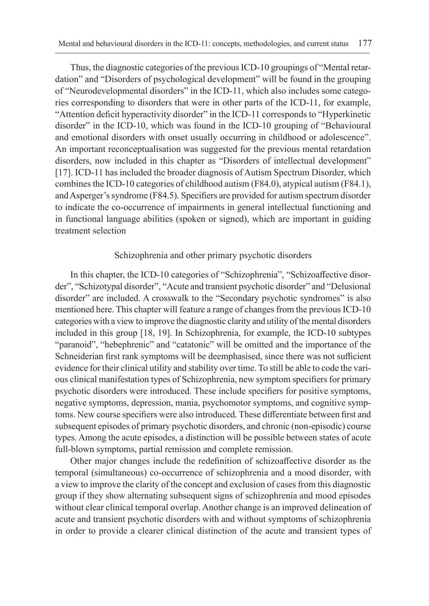Thus, the diagnostic categories of the previous ICD-10 groupings of "Mental retardation" and "Disorders of psychological development" will be found in the grouping of "Neurodevelopmental disorders" in the ICD-11, which also includes some categories corresponding to disorders that were in other parts of the ICD-11, for example, "Attention deficit hyperactivity disorder" in the ICD-11 corresponds to "Hyperkinetic disorder" in the ICD-10, which was found in the ICD-10 grouping of "Behavioural and emotional disorders with onset usually occurring in childhood or adolescence". An important reconceptualisation was suggested for the previous mental retardation disorders, now included in this chapter as "Disorders of intellectual development" [17]. ICD-11 has included the broader diagnosis of Autism Spectrum Disorder, which combines the ICD-10 categories of childhood autism (F84.0), atypical autism (F84.1), and Asperger's syndrome (F84.5). Specifiers are provided for autism spectrum disorder to indicate the co-occurrence of impairments in general intellectual functioning and in functional language abilities (spoken or signed), which are important in guiding treatment selection

#### Schizophrenia and other primary psychotic disorders

In this chapter, the ICD-10 categories of "Schizophrenia", "Schizoaffective disorder", "Schizotypal disorder", "Acute and transient psychotic disorder" and "Delusional disorder" are included. A crosswalk to the "Secondary psychotic syndromes" is also mentioned here. This chapter will feature a range of changes from the previous ICD-10 categories with a view to improve the diagnostic clarity and utility of the mental disorders included in this group [18, 19]. In Schizophrenia, for example, the ICD-10 subtypes "paranoid", "hebephrenic" and "catatonic" will be omitted and the importance of the Schneiderian first rank symptoms will be deemphasised, since there was not sufficient evidence for their clinical utility and stability over time. To still be able to code the various clinical manifestation types of Schizophrenia, new symptom specifiers for primary psychotic disorders were introduced. These include specifiers for positive symptoms, negative symptoms, depression, mania, psychomotor symptoms, and cognitive symptoms. New course specifiers were also introduced. These differentiate between first and subsequent episodes of primary psychotic disorders, and chronic (non-episodic) course types. Among the acute episodes, a distinction will be possible between states of acute full-blown symptoms, partial remission and complete remission.

Other major changes include the redefinition of schizoaffective disorder as the temporal (simultaneous) co-occurrence of schizophrenia and a mood disorder, with a view to improve the clarity of the concept and exclusion of cases from this diagnostic group if they show alternating subsequent signs of schizophrenia and mood episodes without clear clinical temporal overlap. Another change is an improved delineation of acute and transient psychotic disorders with and without symptoms of schizophrenia in order to provide a clearer clinical distinction of the acute and transient types of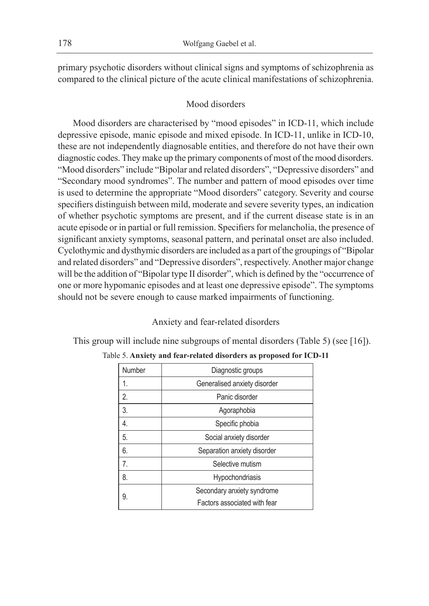primary psychotic disorders without clinical signs and symptoms of schizophrenia as compared to the clinical picture of the acute clinical manifestations of schizophrenia.

### Mood disorders

Mood disorders are characterised by "mood episodes" in ICD-11, which include depressive episode, manic episode and mixed episode. In ICD-11, unlike in ICD-10, these are not independently diagnosable entities, and therefore do not have their own diagnostic codes. They make up the primary components of most of the mood disorders. "Mood disorders" include "Bipolar and related disorders", "Depressive disorders" and "Secondary mood syndromes". The number and pattern of mood episodes over time is used to determine the appropriate "Mood disorders" category. Severity and course specifiers distinguish between mild, moderate and severe severity types, an indication of whether psychotic symptoms are present, and if the current disease state is in an acute episode or in partial or full remission. Specifiers for melancholia, the presence of significant anxiety symptoms, seasonal pattern, and perinatal onset are also included. Cyclothymic and dysthymic disorders are included as a part of the groupings of "Bipolar and related disorders" and "Depressive disorders", respectively. Another major change will be the addition of "Bipolar type II disorder", which is defined by the "occurrence of one or more hypomanic episodes and at least one depressive episode". The symptoms should not be severe enough to cause marked impairments of functioning.

### Anxiety and fear-related disorders

This group will include nine subgroups of mental disorders (Table 5) (see [16]).

| Number         | Diagnostic groups            |
|----------------|------------------------------|
| 1.             | Generalised anxiety disorder |
| $\mathfrak{D}$ | Panic disorder               |
| 3.             | Agoraphobia                  |
| 4.             | Specific phobia              |
| 5.             | Social anxiety disorder      |
| 6.             | Separation anxiety disorder  |
| 7.             | Selective mutism             |
| 8.             | <b>Hypochondriasis</b>       |
| 9.             | Secondary anxiety syndrome   |
|                | Factors associated with fear |

### Table 5. **Anxiety and fear-related disorders as proposed for ICD-11**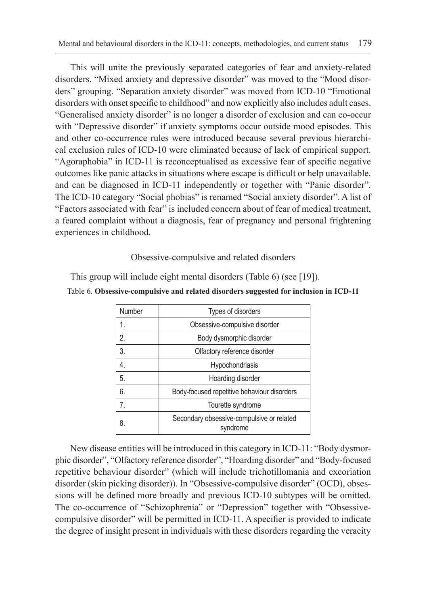This will unite the previously separated categories of fear and anxiety-related disorders. "Mixed anxiety and depressive disorder" was moved to the "Mood disorders" grouping. "Separation anxiety disorder" was moved from ICD-10 "Emotional disorders with onset specific to childhood" and now explicitly also includes adult cases. "Generalised anxiety disorder" is no longer a disorder of exclusion and can co-occur with "Depressive disorder" if anxiety symptoms occur outside mood episodes. This and other co-occurrence rules were introduced because several previous hierarchical exclusion rules of ICD-10 were eliminated because of lack of empirical support. "Agoraphobia" in ICD-11 is reconceptualised as excessive fear of specific negative outcomes like panic attacks in situations where escape is difficult or help unavailable. and can be diagnosed in ICD-11 independently or together with "Panic disorder". The ICD-10 category "Social phobias" is renamed "Social anxiety disorder". A list of "Factors associated with fear" is included concern about of fear of medical treatment, a feared complaint without a diagnosis, fear of pregnancy and personal frightening experiences in childhood.

# Obsessive-compulsive and related disorders

This group will include eight mental disorders (Table 6) (see [19]).

# Table 6. **Obsessive-compulsive and related disorders suggested for inclusion in ICD-11**

| Number         | Types of disorders                                    |
|----------------|-------------------------------------------------------|
| 1.             | Obsessive-compulsive disorder                         |
| $\mathfrak{D}$ | Body dysmorphic disorder                              |
| 3.             | Olfactory reference disorder                          |
| 4.             | Hypochondriasis                                       |
| 5.             | Hoarding disorder                                     |
| 6.             | Body-focused repetitive behaviour disorders           |
| 7.             | Tourette syndrome                                     |
| 8.             | Secondary obsessive-compulsive or related<br>svndrome |

New disease entities will be introduced in this category in ICD-11: "Body dysmorphic disorder", "Olfactory reference disorder", "Hoarding disorder" and "Body-focused repetitive behaviour disorder" (which will include trichotillomania and excoriation disorder (skin picking disorder)). In "Obsessive-compulsive disorder" (OCD), obsessions will be defined more broadly and previous ICD-10 subtypes will be omitted. The co-occurrence of "Schizophrenia" or "Depression" together with "Obsessivecompulsive disorder" will be permitted in ICD-11. A specifier is provided to indicate the degree of insight present in individuals with these disorders regarding the veracity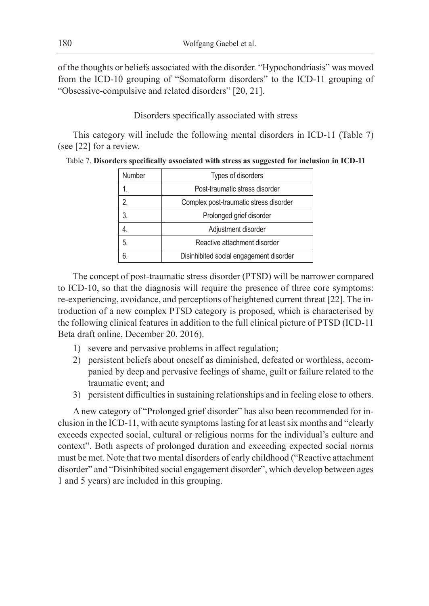of the thoughts or beliefs associated with the disorder. "Hypochondriasis" was moved from the ICD-10 grouping of "Somatoform disorders" to the ICD-11 grouping of "Obsessive-compulsive and related disorders" [20, 21].

### Disorders specifically associated with stress

This category will include the following mental disorders in ICD-11 (Table 7) (see [22] for a review.

| Number | Types of disorders                      |
|--------|-----------------------------------------|
|        | Post-traumatic stress disorder          |
| 2.     | Complex post-traumatic stress disorder  |
| 3.     | Prolonged grief disorder                |
|        | Adjustment disorder                     |
| 5.     | Reactive attachment disorder            |
| 6.     | Disinhibited social engagement disorder |

Table 7. **Disorders specifically associated with stress as suggested for inclusion in ICD-11**

The concept of post-traumatic stress disorder (PTSD) will be narrower compared to ICD-10, so that the diagnosis will require the presence of three core symptoms: re-experiencing, avoidance, and perceptions of heightened current threat [22]. The introduction of a new complex PTSD category is proposed, which is characterised by the following clinical features in addition to the full clinical picture of PTSD (ICD-11 Beta draft online, December 20, 2016).

- 1) severe and pervasive problems in affect regulation;
- 2) persistent beliefs about oneself as diminished, defeated or worthless, accompanied by deep and pervasive feelings of shame, guilt or failure related to the traumatic event; and
- 3) persistent difficulties in sustaining relationships and in feeling close to others.

A new category of "Prolonged grief disorder" has also been recommended for inclusion in the ICD-11, with acute symptoms lasting for at least six months and "clearly exceeds expected social, cultural or religious norms for the individual's culture and context". Both aspects of prolonged duration and exceeding expected social norms must be met. Note that two mental disorders of early childhood ("Reactive attachment disorder" and "Disinhibited social engagement disorder", which develop between ages 1 and 5 years) are included in this grouping.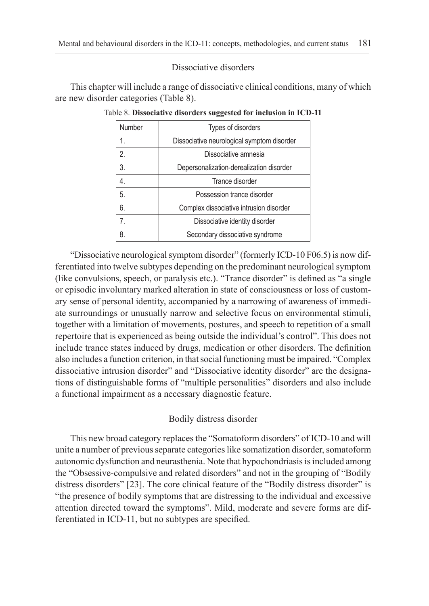Dissociative disorders

This chapter will include a range of dissociative clinical conditions, many of which are new disorder categories (Table 8).

| Number                | Types of disorders                         |
|-----------------------|--------------------------------------------|
|                       | Dissociative neurological symptom disorder |
| $\mathcal{P}_{\cdot}$ | Dissociative amnesia                       |
| 3.                    | Depersonalization-derealization disorder   |
| 4.                    | Trance disorder                            |
| 5.                    | Possession trance disorder                 |
| 6.                    | Complex dissociative intrusion disorder    |
| 7 <sub>1</sub>        | Dissociative identity disorder             |
| 8.                    | Secondary dissociative syndrome            |

Table 8. **Dissociative disorders suggested for inclusion in ICD-11**

"Dissociative neurological symptom disorder" (formerly ICD-10 F06.5) is now differentiated into twelve subtypes depending on the predominant neurological symptom (like convulsions, speech, or paralysis etc.). "Trance disorder" is defined as "a single or episodic involuntary marked alteration in state of consciousness or loss of customary sense of personal identity, accompanied by a narrowing of awareness of immediate surroundings or unusually narrow and selective focus on environmental stimuli, together with a limitation of movements, postures, and speech to repetition of a small repertoire that is experienced as being outside the individual's control". This does not include trance states induced by drugs, medication or other disorders. The definition also includes a function criterion, in that social functioning must be impaired. "Complex dissociative intrusion disorder" and "Dissociative identity disorder" are the designations of distinguishable forms of "multiple personalities" disorders and also include a functional impairment as a necessary diagnostic feature.

### Bodily distress disorder

This new broad category replaces the "Somatoform disorders" of ICD-10 and will unite a number of previous separate categories like somatization disorder, somatoform autonomic dysfunction and neurasthenia. Note that hypochondriasis is included among the "Obsessive-compulsive and related disorders" and not in the grouping of "Bodily distress disorders" [23]. The core clinical feature of the "Bodily distress disorder" is "the presence of bodily symptoms that are distressing to the individual and excessive attention directed toward the symptoms". Mild, moderate and severe forms are differentiated in ICD-11, but no subtypes are specified.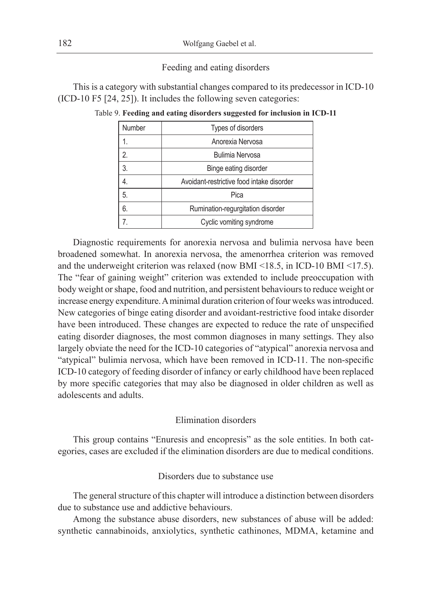#### Feeding and eating disorders

This is a category with substantial changes compared to its predecessor in ICD-10 (ICD-10 F5 [24, 25]). It includes the following seven categories:

| <b>Number</b> | Types of disorders                        |
|---------------|-------------------------------------------|
|               | Anorexia Nervosa                          |
| 2.            | <b>Bulimia Nervosa</b>                    |
| 3.            | Binge eating disorder                     |
|               | Avoidant-restrictive food intake disorder |
| 5.            | Pica                                      |
| 6.            | Rumination-regurgitation disorder         |
|               | Cyclic vomiting syndrome                  |

Table 9. **Feeding and eating disorders suggested for inclusion in ICD-11**

Diagnostic requirements for anorexia nervosa and bulimia nervosa have been broadened somewhat. In anorexia nervosa, the amenorrhea criterion was removed and the underweight criterion was relaxed (now BMI <18.5, in ICD-10 BMI <17.5). The "fear of gaining weight" criterion was extended to include preoccupation with body weight or shape, food and nutrition, and persistent behaviours to reduce weight or increase energy expenditure. A minimal duration criterion of four weeks was introduced. New categories of binge eating disorder and avoidant-restrictive food intake disorder have been introduced. These changes are expected to reduce the rate of unspecified eating disorder diagnoses, the most common diagnoses in many settings. They also largely obviate the need for the ICD-10 categories of "atypical" anorexia nervosa and "atypical" bulimia nervosa, which have been removed in ICD-11. The non-specific ICD-10 category of feeding disorder of infancy or early childhood have been replaced by more specific categories that may also be diagnosed in older children as well as adolescents and adults.

### Elimination disorders

This group contains "Enuresis and encopresis" as the sole entities. In both categories, cases are excluded if the elimination disorders are due to medical conditions.

### Disorders due to substance use

The general structure of this chapter will introduce a distinction between disorders due to substance use and addictive behaviours.

Among the substance abuse disorders, new substances of abuse will be added: synthetic cannabinoids, anxiolytics, synthetic cathinones, MDMA, ketamine and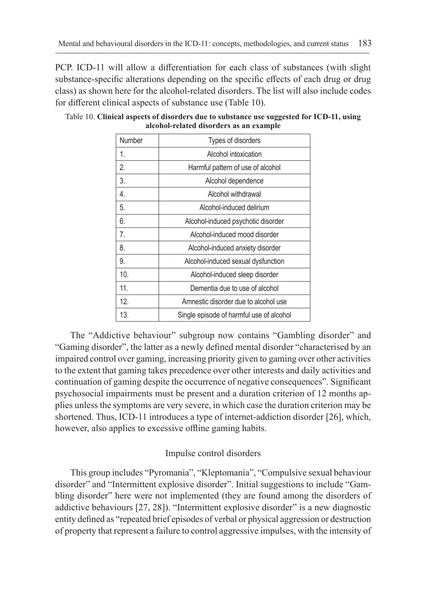PCP. ICD-11 will allow a differentiation for each class of substances (with slight substance-specific alterations depending on the specific effects of each drug or drug class) as shown here for the alcohol-related disorders. The list will also include codes for different clinical aspects of substance use (Table 10).

| Number | Types of disorders                       |
|--------|------------------------------------------|
| 1.     | Alcohol intoxication                     |
| 2.     | Harmful pattern of use of alcohol        |
| 3.     | Alcohol dependence                       |
| 4.     | Alcohol withdrawal                       |
| 5.     | Alcohol-induced delirium                 |
| 6.     | Alcohol-induced psychotic disorder       |
| 7.     | Alcohol-induced mood disorder            |
| 8.     | Alcohol-induced anxiety disorder         |
| 9.     | Alcohol-induced sexual dysfunction       |
| 10.    | Alcohol-induced sleep disorder           |
| 11.    | Dementia due to use of alcohol           |
| 12.    | Amnestic disorder due to alcohol use     |
| 13.    | Single episode of harmful use of alcohol |

Table 10. **Clinical aspects of disorders due to substance use suggested for ICD-11, using alcohol-related disorders as an example**

The "Addictive behaviour" subgroup now contains "Gambling disorder" and "Gaming disorder", the latter as a newly defined mental disorder "characterised by an impaired control over gaming, increasing priority given to gaming over other activities to the extent that gaming takes precedence over other interests and daily activities and continuation of gaming despite the occurrence of negative consequences". Significant psychosocial impairments must be present and a duration criterion of 12 months applies unless the symptoms are very severe, in which case the duration criterion may be shortened. Thus, ICD-11 introduces a type of internet-addiction disorder [26], which, however, also applies to excessive offline gaming habits.

### Impulse control disorders

This group includes "Pyromania", "Kleptomania", "Compulsive sexual behaviour disorder" and "Intermittent explosive disorder". Initial suggestions to include "Gambling disorder" here were not implemented (they are found among the disorders of addictive behaviours [27, 28]). "Intermittent explosive disorder" is a new diagnostic entity defined as "repeated brief episodes of verbal or physical aggression or destruction of property that represent a failure to control aggressive impulses, with the intensity of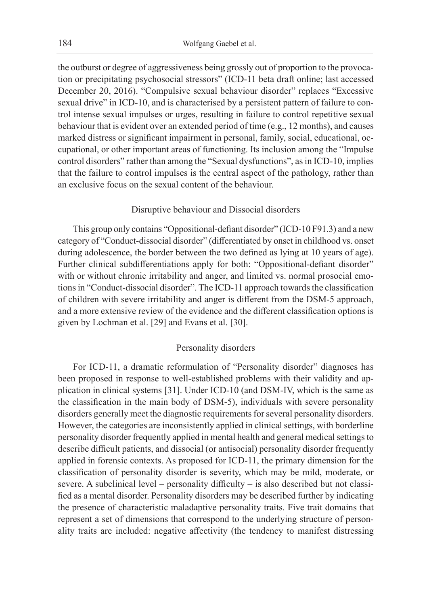the outburst or degree of aggressiveness being grossly out of proportion to the provocation or precipitating psychosocial stressors" (ICD-11 beta draft online; last accessed December 20, 2016). "Compulsive sexual behaviour disorder" replaces "Excessive sexual drive" in ICD-10, and is characterised by a persistent pattern of failure to control intense sexual impulses or urges, resulting in failure to control repetitive sexual behaviour that is evident over an extended period of time (e.g., 12 months), and causes marked distress or significant impairment in personal, family, social, educational, occupational, or other important areas of functioning. Its inclusion among the "Impulse control disorders" rather than among the "Sexual dysfunctions", as in ICD-10, implies that the failure to control impulses is the central aspect of the pathology, rather than an exclusive focus on the sexual content of the behaviour.

### Disruptive behaviour and Dissocial disorders

This group only contains "Oppositional-defiant disorder" (ICD-10 F91.3) and a new category of "Conduct-dissocial disorder" (differentiated by onset in childhood vs. onset during adolescence, the border between the two defined as lying at 10 years of age). Further clinical subdifferentiations apply for both: "Oppositional-defiant disorder" with or without chronic irritability and anger, and limited vs. normal prosocial emotions in "Conduct-dissocial disorder". The ICD-11 approach towards the classification of children with severe irritability and anger is different from the DSM-5 approach, and a more extensive review of the evidence and the different classification options is given by Lochman et al. [29] and Evans et al. [30].

#### Personality disorders

For ICD-11, a dramatic reformulation of "Personality disorder" diagnoses has been proposed in response to well-established problems with their validity and application in clinical systems [31]. Under ICD-10 (and DSM-IV, which is the same as the classification in the main body of DSM-5), individuals with severe personality disorders generally meet the diagnostic requirements for several personality disorders. However, the categories are inconsistently applied in clinical settings, with borderline personality disorder frequently applied in mental health and general medical settings to describe difficult patients, and dissocial (or antisocial) personality disorder frequently applied in forensic contexts. As proposed for ICD-11, the primary dimension for the classification of personality disorder is severity, which may be mild, moderate, or severe. A subclinical level – personality difficulty – is also described but not classified as a mental disorder. Personality disorders may be described further by indicating the presence of characteristic maladaptive personality traits. Five trait domains that represent a set of dimensions that correspond to the underlying structure of personality traits are included: negative affectivity (the tendency to manifest distressing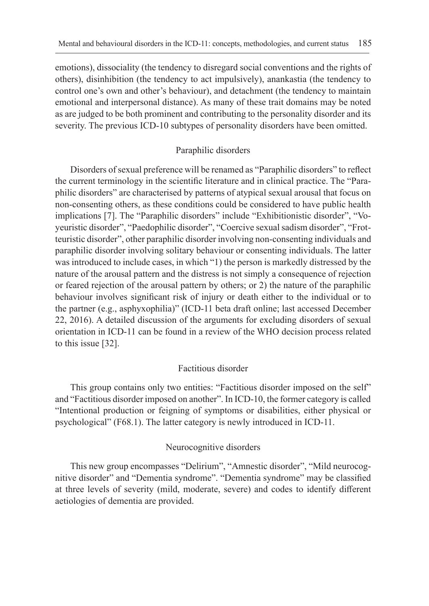emotions), dissociality (the tendency to disregard social conventions and the rights of others), disinhibition (the tendency to act impulsively), anankastia (the tendency to control one's own and other's behaviour), and detachment (the tendency to maintain emotional and interpersonal distance). As many of these trait domains may be noted as are judged to be both prominent and contributing to the personality disorder and its severity. The previous ICD-10 subtypes of personality disorders have been omitted.

### Paraphilic disorders

Disorders of sexual preference will be renamed as "Paraphilic disorders" to reflect the current terminology in the scientific literature and in clinical practice. The "Paraphilic disorders" are characterised by patterns of atypical sexual arousal that focus on non-consenting others, as these conditions could be considered to have public health implications [7]. The "Paraphilic disorders" include "Exhibitionistic disorder", "Voyeuristic disorder", "Paedophilic disorder", "Coercive sexual sadism disorder", "Frotteuristic disorder", other paraphilic disorder involving non-consenting individuals and paraphilic disorder involving solitary behaviour or consenting individuals. The latter was introduced to include cases, in which "1) the person is markedly distressed by the nature of the arousal pattern and the distress is not simply a consequence of rejection or feared rejection of the arousal pattern by others; or 2) the nature of the paraphilic behaviour involves significant risk of injury or death either to the individual or to the partner (e.g., asphyxophilia)" (ICD-11 beta draft online; last accessed December 22, 2016). A detailed discussion of the arguments for excluding disorders of sexual orientation in ICD-11 can be found in a review of the WHO decision process related to this issue [32].

### Factitious disorder

This group contains only two entities: "Factitious disorder imposed on the self" and "Factitious disorder imposed on another". In ICD-10, the former category is called "Intentional production or feigning of symptoms or disabilities, either physical or psychological" (F68.1). The latter category is newly introduced in ICD-11.

### Neurocognitive disorders

This new group encompasses "Delirium", "Amnestic disorder", "Mild neurocognitive disorder" and "Dementia syndrome". "Dementia syndrome" may be classified at three levels of severity (mild, moderate, severe) and codes to identify different aetiologies of dementia are provided.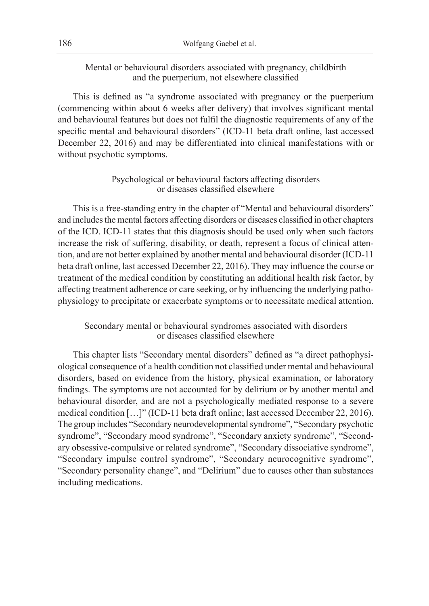Mental or behavioural disorders associated with pregnancy, childbirth and the puerperium, not elsewhere classified

This is defined as "a syndrome associated with pregnancy or the puerperium (commencing within about 6 weeks after delivery) that involves significant mental and behavioural features but does not fulfil the diagnostic requirements of any of the specific mental and behavioural disorders" (ICD-11 beta draft online, last accessed December 22, 2016) and may be differentiated into clinical manifestations with or without psychotic symptoms.

# Psychological or behavioural factors affecting disorders or diseases classified elsewhere

This is a free-standing entry in the chapter of "Mental and behavioural disorders" and includes the mental factors affecting disorders or diseases classified in other chapters of the ICD. ICD-11 states that this diagnosis should be used only when such factors increase the risk of suffering, disability, or death, represent a focus of clinical attention, and are not better explained by another mental and behavioural disorder (ICD-11 beta draft online, last accessed December 22, 2016). They may influence the course or treatment of the medical condition by constituting an additional health risk factor, by affecting treatment adherence or care seeking, or by influencing the underlying pathophysiology to precipitate or exacerbate symptoms or to necessitate medical attention.

# Secondary mental or behavioural syndromes associated with disorders or diseases classified elsewhere

This chapter lists "Secondary mental disorders" defined as "a direct pathophysiological consequence of a health condition not classified under mental and behavioural disorders, based on evidence from the history, physical examination, or laboratory findings. The symptoms are not accounted for by delirium or by another mental and behavioural disorder, and are not a psychologically mediated response to a severe medical condition […]" (ICD-11 beta draft online; last accessed December 22, 2016). The group includes "Secondary neurodevelopmental syndrome", "Secondary psychotic syndrome", "Secondary mood syndrome", "Secondary anxiety syndrome", "Secondary obsessive-compulsive or related syndrome", "Secondary dissociative syndrome", "Secondary impulse control syndrome", "Secondary neurocognitive syndrome", "Secondary personality change", and "Delirium" due to causes other than substances including medications.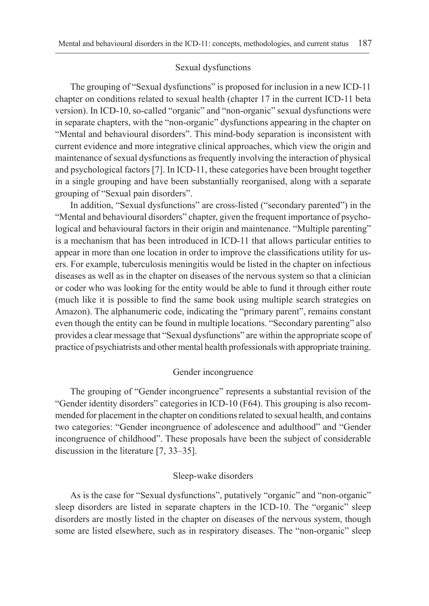#### Sexual dysfunctions

The grouping of "Sexual dysfunctions" is proposed for inclusion in a new ICD-11 chapter on conditions related to sexual health (chapter 17 in the current ICD-11 beta version). In ICD-10, so-called "organic" and "non-organic" sexual dysfunctions were in separate chapters, with the "non-organic" dysfunctions appearing in the chapter on "Mental and behavioural disorders". This mind-body separation is inconsistent with current evidence and more integrative clinical approaches, which view the origin and maintenance of sexual dysfunctions as frequently involving the interaction of physical and psychological factors [7]. In ICD-11, these categories have been brought together in a single grouping and have been substantially reorganised, along with a separate grouping of "Sexual pain disorders".

In addition, "Sexual dysfunctions" are cross-listed ("secondary parented") in the "Mental and behavioural disorders" chapter, given the frequent importance of psychological and behavioural factors in their origin and maintenance. "Multiple parenting" is a mechanism that has been introduced in ICD-11 that allows particular entities to appear in more than one location in order to improve the classifications utility for users. For example, tuberculosis meningitis would be listed in the chapter on infectious diseases as well as in the chapter on diseases of the nervous system so that a clinician or coder who was looking for the entity would be able to fund it through either route (much like it is possible to find the same book using multiple search strategies on Amazon). The alphanumeric code, indicating the "primary parent", remains constant even though the entity can be found in multiple locations. "Secondary parenting" also provides a clear message that "Sexual dysfunctions" are within the appropriate scope of practice of psychiatrists and other mental health professionals with appropriate training.

### Gender incongruence

The grouping of "Gender incongruence" represents a substantial revision of the "Gender identity disorders" categories in ICD-10 (F64). This grouping is also recommended for placement in the chapter on conditions related to sexual health, and contains two categories: "Gender incongruence of adolescence and adulthood" and "Gender incongruence of childhood". These proposals have been the subject of considerable discussion in the literature [7, 33–35].

#### Sleep-wake disorders

As is the case for "Sexual dysfunctions", putatively "organic" and "non-organic" sleep disorders are listed in separate chapters in the ICD-10. The "organic" sleep disorders are mostly listed in the chapter on diseases of the nervous system, though some are listed elsewhere, such as in respiratory diseases. The "non-organic" sleep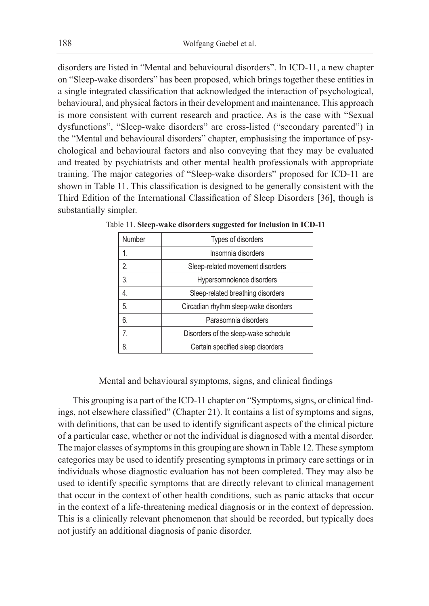disorders are listed in "Mental and behavioural disorders". In ICD-11, a new chapter on "Sleep-wake disorders" has been proposed, which brings together these entities in a single integrated classification that acknowledged the interaction of psychological, behavioural, and physical factors in their development and maintenance. This approach is more consistent with current research and practice. As is the case with "Sexual dysfunctions", "Sleep-wake disorders" are cross-listed ("secondary parented") in the "Mental and behavioural disorders" chapter, emphasising the importance of psychological and behavioural factors and also conveying that they may be evaluated and treated by psychiatrists and other mental health professionals with appropriate training. The major categories of "Sleep-wake disorders" proposed for ICD-11 are shown in Table 11. This classification is designed to be generally consistent with the Third Edition of the International Classification of Sleep Disorders [36], though is substantially simpler.

| Number           | Types of disorders                    |
|------------------|---------------------------------------|
| 1.               | Insomnia disorders                    |
| $\overline{2}$ . | Sleep-related movement disorders      |
| 3.               | Hypersomnolence disorders             |
| 4.               | Sleep-related breathing disorders     |
| 5.               | Circadian rhythm sleep-wake disorders |
| 6.               | Parasomnia disorders                  |
| $\overline{7}$   | Disorders of the sleep-wake schedule  |
| 8.               | Certain specified sleep disorders     |

Table 11. **Sleep-wake disorders suggested for inclusion in ICD-11**

Mental and behavioural symptoms, signs, and clinical findings

This grouping is a part of the ICD-11 chapter on "Symptoms, signs, or clinical findings, not elsewhere classified" (Chapter 21). It contains a list of symptoms and signs, with definitions, that can be used to identify significant aspects of the clinical picture of a particular case, whether or not the individual is diagnosed with a mental disorder. The major classes of symptoms in this grouping are shown in Table 12. These symptom categories may be used to identify presenting symptoms in primary care settings or in individuals whose diagnostic evaluation has not been completed. They may also be used to identify specific symptoms that are directly relevant to clinical management that occur in the context of other health conditions, such as panic attacks that occur in the context of a life-threatening medical diagnosis or in the context of depression. This is a clinically relevant phenomenon that should be recorded, but typically does not justify an additional diagnosis of panic disorder.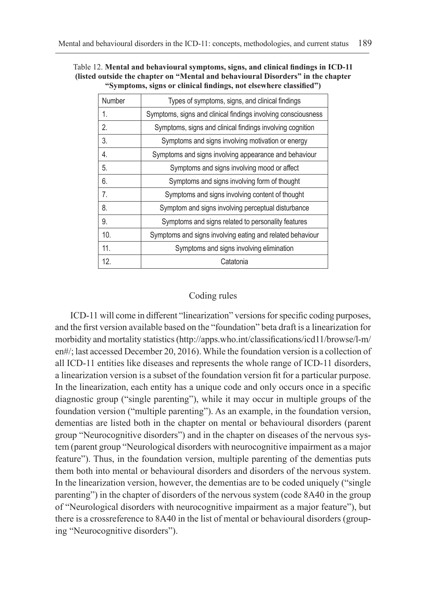| Number | Types of symptoms, signs, and clinical findings               |
|--------|---------------------------------------------------------------|
| 1.     | Symptoms, signs and clinical findings involving consciousness |
| 2.     | Symptoms, signs and clinical findings involving cognition     |
| 3.     | Symptoms and signs involving motivation or energy             |
| 4.     | Symptoms and signs involving appearance and behaviour         |
| 5.     | Symptoms and signs involving mood or affect                   |
| 6.     | Symptoms and signs involving form of thought                  |
| 7.     | Symptoms and signs involving content of thought               |
| 8.     | Symptom and signs involving perceptual disturbance            |
| 9.     | Symptoms and signs related to personality features            |
| 10.    | Symptoms and signs involving eating and related behaviour     |
| 11.    | Symptoms and signs involving elimination                      |
| 12.    | Catatonia                                                     |
|        |                                                               |

Table 12. **Mental and behavioural symptoms, signs, and clinical findings in ICD-11 (listed outside the chapter on "Mental and behavioural Disorders" in the chapter "Symptoms, signs or clinical findings, not elsewhere classified")**

### Coding rules

ICD-11 will come in different "linearization" versions for specific coding purposes, and the first version available based on the "foundation" beta draft is a linearization for morbidity and mortality statistics (http://apps.who.int/classifications/icd11/browse/l-m/ en#/; last accessed December 20, 2016). While the foundation version is a collection of all ICD-11 entities like diseases and represents the whole range of ICD-11 disorders, a linearization version is a subset of the foundation version fit for a particular purpose. In the linearization, each entity has a unique code and only occurs once in a specific diagnostic group ("single parenting"), while it may occur in multiple groups of the foundation version ("multiple parenting"). As an example, in the foundation version, dementias are listed both in the chapter on mental or behavioural disorders (parent group "Neurocognitive disorders") and in the chapter on diseases of the nervous system (parent group "Neurological disorders with neurocognitive impairment as a major feature"). Thus, in the foundation version, multiple parenting of the dementias puts them both into mental or behavioural disorders and disorders of the nervous system. In the linearization version, however, the dementias are to be coded uniquely ("single parenting") in the chapter of disorders of the nervous system (code 8A40 in the group of "Neurological disorders with neurocognitive impairment as a major feature"), but there is a crossreference to 8A40 in the list of mental or behavioural disorders (grouping "Neurocognitive disorders").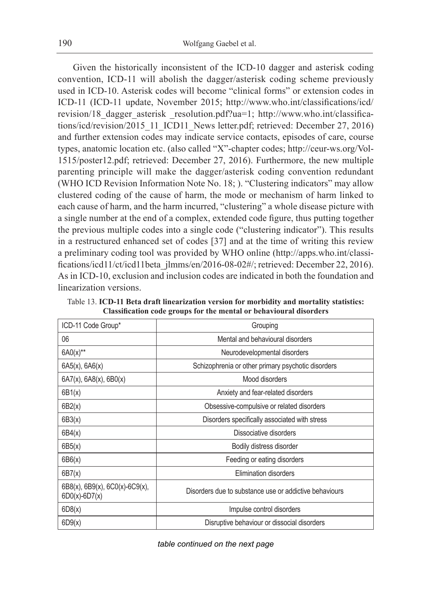Given the historically inconsistent of the ICD-10 dagger and asterisk coding convention, ICD-11 will abolish the dagger/asterisk coding scheme previously used in ICD-10. Asterisk codes will become "clinical forms" or extension codes in ICD-11 (ICD-11 update, November 2015; http://www.who.int/classifications/icd/ revision/18\_dagger\_asterisk \_resolution.pdf?ua=1; http://www.who.int/classifications/icd/revision/2015\_11\_ICD11\_News letter.pdf; retrieved: December 27, 2016) and further extension codes may indicate service contacts, episodes of care, course types, anatomic location etc. (also called "X"-chapter codes; http://ceur-ws.org/Vol-1515/poster12.pdf; retrieved: December 27, 2016). Furthermore, the new multiple parenting principle will make the dagger/asterisk coding convention redundant (WHO ICD Revision Information Note No. 18; ). "Clustering indicators" may allow clustered coding of the cause of harm, the mode or mechanism of harm linked to each cause of harm, and the harm incurred, "clustering" a whole disease picture with a single number at the end of a complex, extended code figure, thus putting together the previous multiple codes into a single code ("clustering indicator"). This results in a restructured enhanced set of codes [37] and at the time of writing this review a preliminary coding tool was provided by WHO online (http://apps.who.int/classifications/icd11/ct/icd11beta\_jlmms/en/2016-08-02#/; retrieved: December 22, 2016). As in ICD-10, exclusion and inclusion codes are indicated in both the foundation and linearization versions.

| ICD-11 Code Group*                                             | Grouping                                               |
|----------------------------------------------------------------|--------------------------------------------------------|
| 06                                                             | Mental and behavioural disorders                       |
| $6A0(x)$ **                                                    | Neurodevelopmental disorders                           |
| $6A5(x)$ , $6A6(x)$                                            | Schizophrenia or other primary psychotic disorders     |
| $6A7(x)$ , $6A8(x)$ , $6B0(x)$                                 | Mood disorders                                         |
| 6B1(x)                                                         | Anxiety and fear-related disorders                     |
| 6B2(x)                                                         | Obsessive-compulsive or related disorders              |
| 6B3(x)                                                         | Disorders specifically associated with stress          |
| 6B4(x)                                                         | Dissociative disorders                                 |
| 6B5(x)                                                         | Bodily distress disorder                               |
| 6B6(x)                                                         | Feeding or eating disorders                            |
| 6B7(x)                                                         | Elimination disorders                                  |
| $6B8(x)$ , $6B9(x)$ , $6C0(x)$ - $6C9(x)$ ,<br>$6D0(x)-6D7(x)$ | Disorders due to substance use or addictive behaviours |
| 6D8(x)                                                         | Impulse control disorders                              |
| 6D9(x)                                                         | Disruptive behaviour or dissocial disorders            |

Table 13. **ICD-11 Beta draft linearization version for morbidity and mortality statistics: Classification code groups for the mental or behavioural disorders**

*table continued on the next page*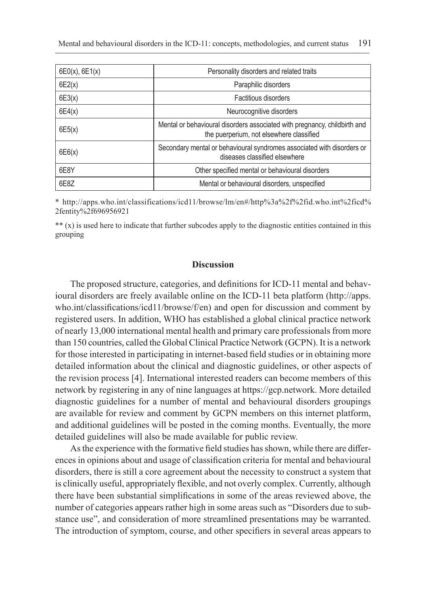| $6E0(x)$ , $6E1(x)$ | Personality disorders and related traits                                                                              |
|---------------------|-----------------------------------------------------------------------------------------------------------------------|
| 6E2(x)              | Paraphilic disorders                                                                                                  |
| 6E3(x)              | <b>Factitious disorders</b>                                                                                           |
| 6E4(x)              | Neurocognitive disorders                                                                                              |
| 6E5(x)              | Mental or behavioural disorders associated with pregnancy, childbirth and<br>the puerperium, not elsewhere classified |
| 6E6(x)              | Secondary mental or behavioural syndromes associated with disorders or<br>diseases classified elsewhere               |
| 6E8Y                | Other specified mental or behavioural disorders                                                                       |
| 6E8Z                | Mental or behavioural disorders, unspecified                                                                          |

\* http://apps.who.int/classifications/icd11/browse/lm/en#/http%3a%2f%2fid.who.int%2ficd% 2fentity%2f696956921

\*\* (x) is used here to indicate that further subcodes apply to the diagnostic entities contained in this grouping

#### **Discussion**

The proposed structure, categories, and definitions for ICD-11 mental and behavioural disorders are freely available online on the ICD-11 beta platform (http://apps. who.int/classifications/icd11/browse/f/en) and open for discussion and comment by registered users. In addition, WHO has established a global clinical practice network of nearly 13,000 international mental health and primary care professionals from more than 150 countries, called the Global Clinical Practice Network (GCPN). It is a network for those interested in participating in internet-based field studies or in obtaining more detailed information about the clinical and diagnostic guidelines, or other aspects of the revision process [4]. International interested readers can become members of this network by registering in any of nine languages at https://gcp.network. More detailed diagnostic guidelines for a number of mental and behavioural disorders groupings are available for review and comment by GCPN members on this internet platform, and additional guidelines will be posted in the coming months. Eventually, the more detailed guidelines will also be made available for public review.

As the experience with the formative field studies has shown, while there are differences in opinions about and usage of classification criteria for mental and behavioural disorders, there is still a core agreement about the necessity to construct a system that is clinically useful, appropriately flexible, and not overly complex. Currently, although there have been substantial simplifications in some of the areas reviewed above, the number of categories appears rather high in some areas such as "Disorders due to substance use", and consideration of more streamlined presentations may be warranted. The introduction of symptom, course, and other specifiers in several areas appears to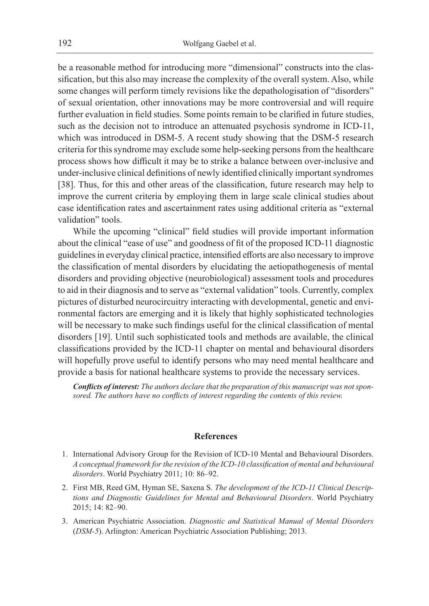be a reasonable method for introducing more "dimensional" constructs into the classification, but this also may increase the complexity of the overall system. Also, while some changes will perform timely revisions like the depathologisation of "disorders" of sexual orientation, other innovations may be more controversial and will require further evaluation in field studies. Some points remain to be clarified in future studies, such as the decision not to introduce an attenuated psychosis syndrome in ICD-11, which was introduced in DSM-5. A recent study showing that the DSM-5 research criteria for this syndrome may exclude some help-seeking persons from the healthcare process shows how difficult it may be to strike a balance between over-inclusive and under-inclusive clinical definitions of newly identified clinically important syndromes [38]. Thus, for this and other areas of the classification, future research may help to improve the current criteria by employing them in large scale clinical studies about case identification rates and ascertainment rates using additional criteria as "external validation" tools.

While the upcoming "clinical" field studies will provide important information about the clinical "ease of use" and goodness of fit of the proposed ICD-11 diagnostic guidelines in everyday clinical practice, intensified efforts are also necessary to improve the classification of mental disorders by elucidating the aetiopathogenesis of mental disorders and providing objective (neurobiological) assessment tools and procedures to aid in their diagnosis and to serve as "external validation" tools. Currently, complex pictures of disturbed neurocircuitry interacting with developmental, genetic and environmental factors are emerging and it is likely that highly sophisticated technologies will be necessary to make such findings useful for the clinical classification of mental disorders [19]. Until such sophisticated tools and methods are available, the clinical classifications provided by the ICD-11 chapter on mental and behavioural disorders will hopefully prove useful to identify persons who may need mental healthcare and provide a basis for national healthcare systems to provide the necessary services.

*Conflicts of interest: The authors declare that the preparation of this manuscript was not sponsored. The authors have no conflicts of interest regarding the contents of this review.*

#### **References**

- 1. International Advisory Group for the Revision of ICD-10 Mental and Behavioural Disorders. *A conceptual framework for the revision of the ICD-10 classification of mental and behavioural disorders*. World Psychiatry 2011; 10: 86–92.
- 2. First MB, Reed GM, Hyman SE, Saxena S. *The development of the ICD-11 Clinical Descriptions and Diagnostic Guidelines for Mental and Behavioural Disorders*. World Psychiatry 2015; 14: 82–90.
- 3. American Psychiatric Association. *Diagnostic and Statistical Manual of Mental Disorders*  (*DSM-5*). Arlington: American Psychiatric Association Publishing; 2013.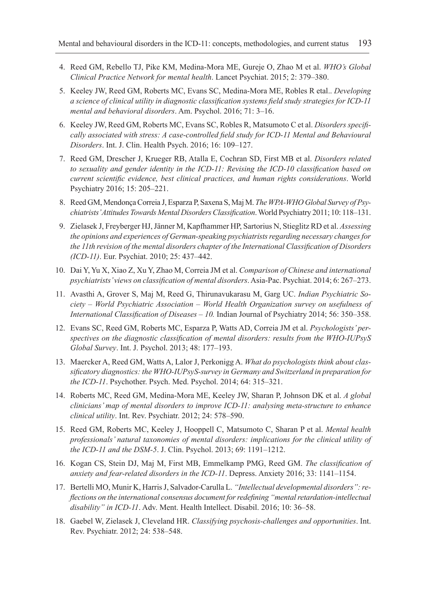- 4. Reed GM, Rebello TJ, Pike KM, Medina-Mora ME, Gureje O, Zhao M et al. *WHO's Global Clinical Practice Network for mental health*. Lancet Psychiat. 2015; 2: 379–380.
- 5. Keeley JW, Reed GM, Roberts MC, Evans SC, Medina-Mora ME, Robles R etal.. *Developing a science of clinical utility in diagnostic classification systems field study strategies for ICD-11 mental and behavioral disorders*. Am. Psychol. 2016; 71: 3–16.
- 6. Keeley JW, Reed GM, Roberts MC, Evans SC, Robles R, Matsumoto C et al. *Disorders specifically associated with stress: A case-controlled field study for ICD-11 Mental and Behavioural Disorders*. Int. J. Clin. Health Psych. 2016; 16: 109–127.
- 7. Reed GM, Drescher J, Krueger RB, Atalla E, Cochran SD, First MB et al. *Disorders related to sexuality and gender identity in the ICD-11: Revising the ICD-10 classification based on current scientific evidence, best clinical practices, and human rights considerations*. World Psychiatry 2016; 15: 205–221.
- 8. Reed GM, Mendonça Correia J, Esparza P, Saxena S, Maj M. *The WPA-WHO Global Survey of Psychiatrists' Attitudes Towards Mental Disorders Classification*. World Psychiatry 2011; 10: 118–131.
- 9. Zielasek J, Freyberger HJ, Jänner M, Kapfhammer HP, Sartorius N, Stieglitz RD et al. *Assessing the opinions and experiences of German-speaking psychiatrists regarding necessary changes for the 11th revision of the mental disorders chapter of the International Classification of Disorders (ICD-11)*. Eur. Psychiat. 2010; 25: 437–442.
- 10. Dai Y, Yu X, Xiao Z, Xu Y, Zhao M, Correia JM et al. *Comparison of Chinese and international psychiatrists' views on classification of mental disorders*. Asia-Pac. Psychiat. 2014; 6: 267–273.
- 11. Avasthi A, Grover S, Maj M, Reed G, Thirunavukarasu M, Garg UC. *Indian Psychiatric Society – World Psychiatric Association – World Health Organization survey on usefulness of International Classification of Diseases – 10.* Indian Journal of Psychiatry 2014; 56: 350–358.
- 12. Evans SC, Reed GM, Roberts MC, Esparza P, Watts AD, Correia JM et al. *Psychologists' perspectives on the diagnostic classification of mental disorders: results from the WHO-IUPsyS Global Survey*. Int. J. Psychol. 2013; 48: 177–193.
- 13. Maercker A, Reed GM, Watts A, Lalor J, Perkonigg A. *What do psychologists think about classificatory diagnostics: the WHO-IUPsyS-survey in Germany and Switzerland in preparation for the ICD-11*. Psychother. Psych. Med. Psychol. 2014; 64: 315–321.
- 14. Roberts MC, Reed GM, Medina-Mora ME, Keeley JW, Sharan P, Johnson DK et al. *A global clinicians' map of mental disorders to improve ICD-11: analysing meta-structure to enhance clinical utility*. Int. Rev. Psychiatr. 2012; 24: 578–590.
- 15. Reed GM, Roberts MC, Keeley J, Hooppell C, Matsumoto C, Sharan P et al. *Mental health professionals' natural taxonomies of mental disorders: implications for the clinical utility of the ICD-11 and the DSM-5*. J. Clin. Psychol. 2013; 69: 1191–1212.
- 16. Kogan CS, Stein DJ, Maj M, First MB, Emmelkamp PMG, Reed GM. *The classification of anxiety and fear-related disorders in the ICD-11*. Depress. Anxiety 2016; 33: 1141–1154.
- 17. Bertelli MO, Munir K, Harris J, Salvador-Carulla L. *"Intellectual developmental disorders": reflections on the international consensus document for redefining "mental retardation-intellectual disability" in ICD-11*. Adv. Ment. Health Intellect. Disabil. 2016; 10: 36–58.
- 18. Gaebel W, Zielasek J, Cleveland HR. *Classifying psychosis-challenges and opportunities*. Int. Rev. Psychiatr. 2012; 24: 538–548.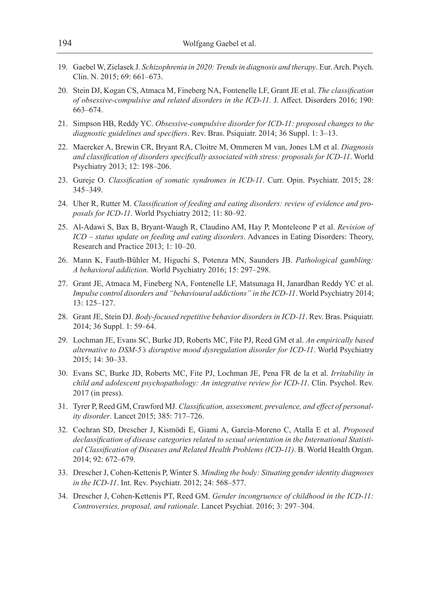- 19. Gaebel W, Zielasek J. *Schizophrenia in 2020: Trends in diagnosis and therapy*. Eur. Arch. Psych. Clin. N. 2015; 69: 661–673.
- 20. Stein DJ, Kogan CS, Atmaca M, Fineberg NA, Fontenelle LF, Grant JE et al. *The classification of obsessive-compulsive and related disorders in the ICD-11.* J. Affect. Disorders 2016; 190: 663–674.
- 21. Simpson HB, Reddy YC. *Obsessive-compulsive disorder for ICD-11: proposed changes to the diagnostic guidelines and specifiers*. Rev. Bras. Psiquiatr. 2014; 36 Suppl. 1: 3–13.
- 22. Maercker A, Brewin CR, Bryant RA, Cloitre M, Ommeren M van, Jones LM et al. *Diagnosis and classification of disorders specifically associated with stress: proposals for ICD-11*. World Psychiatry 2013; 12: 198–206.
- 23. Gureje O. *Classification of somatic syndromes in ICD-11*. Curr. Opin. Psychiatr. 2015; 28: 345–349.
- 24. Uher R, Rutter M. *Classification of feeding and eating disorders: review of evidence and proposals for ICD-11*. World Psychiatry 2012; 11: 80–92.
- 25. Al-Adawi S, Bax B, Bryant-Waugh R, Claudino AM, Hay P, Monteleone P et al. *Revision of ICD – status update on feeding and eating disorders*. Advances in Eating Disorders: Theory, Research and Practice 2013; 1: 10–20.
- 26. Mann K, Fauth-Bühler M, Higuchi S, Potenza MN, Saunders JB. *Pathological gambling: A behavioral addiction*. World Psychiatry 2016; 15: 297–298.
- 27. Grant JE, Atmaca M, Fineberg NA, Fontenelle LF, Matsunaga H, Janardhan Reddy YC et al. *Impulse control disorders and "behavioural addictions" in the ICD-11*. World Psychiatry 2014; 13: 125–127.
- 28. Grant JE, Stein DJ. *Body-focused repetitive behavior disorders in ICD-11*. Rev. Bras. Psiquiatr. 2014; 36 Suppl. 1: 59–64.
- 29. Lochman JE, Evans SC, Burke JD, Roberts MC, Fite PJ, Reed GM et al. *An empirically based alternative to DSM-5's disruptive mood dysregulation disorder for ICD-11*. World Psychiatry 2015; 14: 30–33.
- 30. Evans SC, Burke JD, Roberts MC, Fite PJ, Lochman JE, Pena FR de la et al. *Irritability in child and adolescent psychopathology: An integrative review for ICD-11*. Clin. Psychol. Rev. 2017 (in press).
- 31. Tyrer P, Reed GM, Crawford MJ. *Classification, assessment, prevalence, and effect of personality disorder*. Lancet 2015; 385: 717–726.
- 32. Cochran SD, Drescher J, Kismödi E, Giami A, García-Moreno C, Atalla E et al. *Proposed declassification of disease categories related to sexual orientation in the International Statistical Classification of Diseases and Related Health Problems (ICD-11)*. B. World Health Organ. 2014; 92: 672–679.
- 33. Drescher J, Cohen-Kettenis P, Winter S. *Minding the body: Situating gender identity diagnoses in the ICD-11*. Int. Rev. Psychiatr. 2012; 24: 568–577.
- 34. Drescher J, Cohen-Kettenis PT, Reed GM. *Gender incongruence of childhood in the ICD-11: Controversies, proposal, and rationale*. Lancet Psychiat. 2016; 3: 297–304.